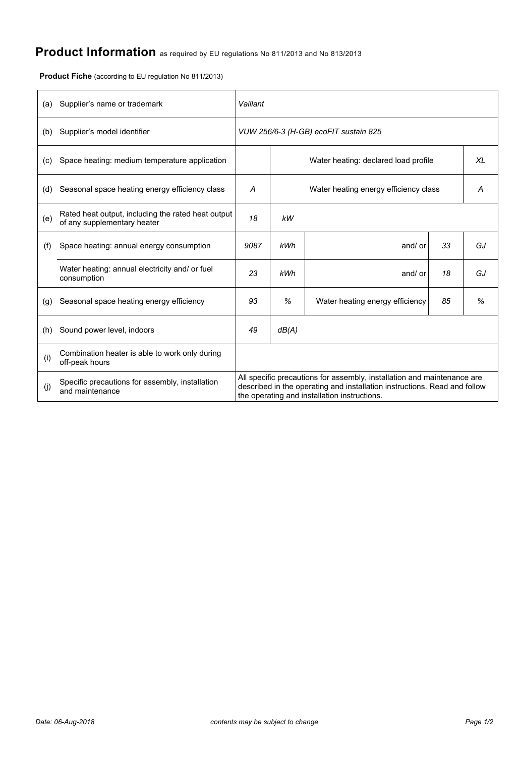# **Product Information** as required by EU regulations No 811/2013 and No 813/2013

**Product Fiche** (according to EU regulation No 811/2013)

| (a) | Supplier's name or trademark                                                      | Vaillant                              |       |                                                                                                                                                                                                      |    |    |  |
|-----|-----------------------------------------------------------------------------------|---------------------------------------|-------|------------------------------------------------------------------------------------------------------------------------------------------------------------------------------------------------------|----|----|--|
| (b) | Supplier's model identifier                                                       | VUW 256/6-3 (H-GB) ecoFIT sustain 825 |       |                                                                                                                                                                                                      |    |    |  |
| (c) | Space heating: medium temperature application                                     |                                       |       | Water heating: declared load profile                                                                                                                                                                 |    | XL |  |
| (d) | Seasonal space heating energy efficiency class                                    | А                                     |       | Water heating energy efficiency class                                                                                                                                                                |    | A  |  |
| (e) | Rated heat output, including the rated heat output<br>of any supplementary heater | 18                                    | kW    |                                                                                                                                                                                                      |    |    |  |
| (f) | Space heating: annual energy consumption                                          | 9087                                  | kWh   | and/ or                                                                                                                                                                                              | 33 | GJ |  |
|     | Water heating: annual electricity and/ or fuel<br>consumption                     | 23                                    | kWh   | and/ or                                                                                                                                                                                              | 18 | GJ |  |
| (g) | Seasonal space heating energy efficiency                                          | 93                                    | %     | Water heating energy efficiency                                                                                                                                                                      | 85 | %  |  |
| (h) | Sound power level, indoors                                                        | 49                                    | dB(A) |                                                                                                                                                                                                      |    |    |  |
| (i) | Combination heater is able to work only during<br>off-peak hours                  |                                       |       |                                                                                                                                                                                                      |    |    |  |
| (j) | Specific precautions for assembly, installation<br>and maintenance                |                                       |       | All specific precautions for assembly, installation and maintenance are<br>described in the operating and installation instructions. Read and follow<br>the operating and installation instructions. |    |    |  |